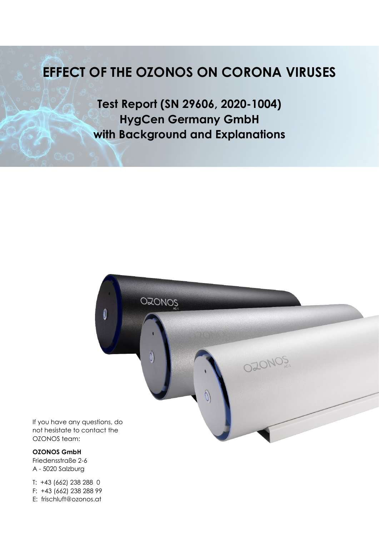## **EFFECT OF THE OZONOS ON CORONA VIRUSES**

**Test Report (SN 29606, 2020-1004) HygCen Germany GmbH with Background and Explanations**



Friedensstraße 2-6 A - 5020 Salzburg

T: +43 (662) 238 288 0 F: +43 (662) 238 288 99 E: frischluft@ozonos.at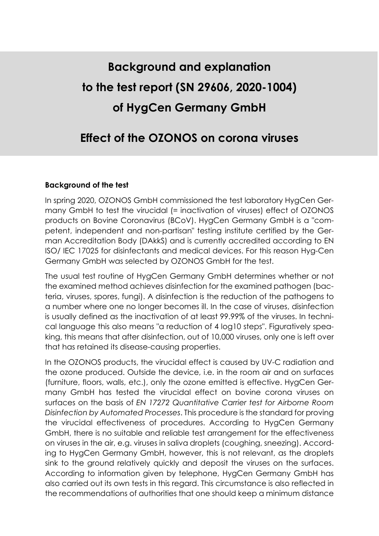# **Background and explanation to the test report (SN 29606, 2020-1004) of HygCen Germany GmbH**

## **Effect of the OZONOS on corona viruses**

#### **Background of the test**

In spring 2020, OZONOS GmbH commissioned the test laboratory HygCen Germany GmbH to test the virucidal (= inactivation of viruses) effect of OZONOS products on Bovine Coronavirus (BCoV). HygCen Germany GmbH is a "competent, independent and non-partisan" testing institute certified by the German Accreditation Body (DAkkS) and is currently accredited according to EN ISO/ IEC 17025 for disinfectants and medical devices. For this reason Hyg-Cen Germany GmbH was selected by OZONOS GmbH for the test.

The usual test routine of HygCen Germany GmbH determines whether or not the examined method achieves disinfection for the examined pathogen (bacteria, viruses, spores, fungi). A disinfection is the reduction of the pathogens to a number where one no longer becomes ill. In the case of viruses, disinfection is usually defined as the inactivation of at least 99.99% of the viruses. In technical language this also means "a reduction of 4 log10 steps". Figuratively speaking, this means that after disinfection, out of 10,000 viruses, only one is left over that has retained its disease-causing properties.

In the OZONOS products, the virucidal effect is caused by UV-C radiation and the ozone produced. Outside the device, i.e. in the room air and on surfaces (furniture, floors, walls, etc.), only the ozone emitted is effective. HygCen Germany GmbH has tested the virucidal effect on bovine corona viruses on surfaces on the basis of *EN 17272 Quantitative Carrier test for Airborne Room Disinfection by Automated Processes*. This procedure is the standard for proving the virucidal effectiveness of procedures. According to HygCen Germany GmbH, there is no suitable and reliable test arrangement for the effectiveness on viruses in the air, e.g. viruses in saliva droplets (coughing, sneezing). According to HygCen Germany GmbH, however, this is not relevant, as the droplets sink to the ground relatively quickly and deposit the viruses on the surfaces. According to information given by telephone, HygCen Germany GmbH has also carried out its own tests in this regard. This circumstance is also reflected in the recommendations of authorities that one should keep a minimum distance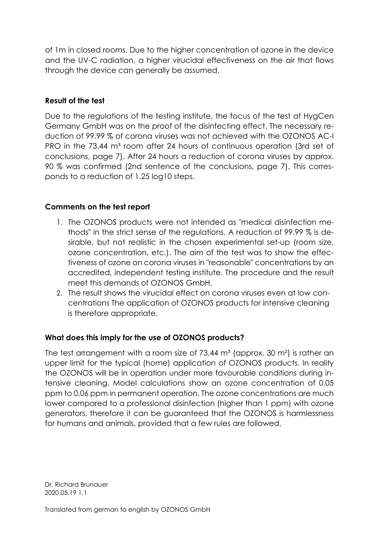of 1m in closed rooms. Due to the higher concentration of ozone in the device and the UV-C radiation, a higher virucidal effectiveness on the air that flows through the device can generally be assumed.

#### **Result of the test**

Due to the regulations of the testing institute, the focus of the test at HygCen Germany GmbH was on the proof of the disinfecting effect. The necessary reduction of 99.99 % of corona viruses was not achieved with the OZONOS AC-I PRO in the 73.44 m<sup>3</sup> room after 24 hours of continuous operation (3rd set of conclusions, page 7). After 24 hours a reduction of corona viruses by approx. 90 % was confirmed (2nd sentence of the conclusions, page 7). This corresponds to a reduction of 1.25 log10 steps.

#### **Comments on the test report**

- 1. The OZONOS products were not intended as "medical disinfection methods" in the strict sense of the regulations. A reduction of 99.99 % is desirable, but not realistic in the chosen experimental set-up (room size, ozone concentration, etc.). The aim of the test was to show the effectiveness of ozone on corona viruses in "reasonable" concentrations by an accredited, independent testing institute. The procedure and the result meet this demands of OZONOS GmbH.
- 2. The result shows the virucidal effect on corona viruses even at low concentrations The application of OZONOS products for intensive cleaning is therefore appropriate.

### **What does this imply for the use of OZONOS products?**

The test arrangement with a room size of  $73.44 \, \text{m}^3$  (approx. 30 m<sup>2</sup>) is rather an upper limit for the typical (home) application of OZONOS products. In reality the OZONOS will be in operation under more favourable conditions during intensive cleaning. Model calculations show an ozone concentration of 0.05 ppm to 0.06 ppm in permanent operation. The ozone concentrations are much lower compared to a professional disinfection (higher than 1 ppm) with ozone generators, therefore it can be guaranteed that the OZONOS is harmlessness for humans and animals, provided that a few rules are followed.

Dr. Richard Brunauer 2020.05.19 1.1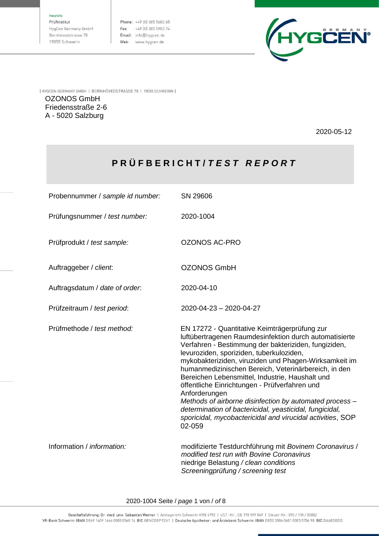#### Haunteitz

Prüfinstitut HygCen Germany GmbH Bornhövedstrasse 78 19055 Schwerin

Phone: +49 [0] 385 5682 65 Fax: +49 (0) 385 5983 74 Email: info@hygcen.de Web: www.hygcen.de



[ HYGCEN GERMANY GMBH | BORNHÖVEDSTRASSE 78 | 19055 SCHWERIN ]

OZONOS GmbH Friedensstraße 2-6 A - 5020 Salzburg

2020-05-12

### **P R Ü F B E R I C H T /** *T E S T R E P O R T*

Probennummer / *sample id number:* SN 29606

Prüfungsnummer / *test number:* 2020-1004

Prüfprodukt / *test sample:* OZONOS AC-PRO

Auftraggeber / *client*: OZONOS GmbH

Auftragsdatum / *date of order*: 2020-04-10

Prüfzeitraum / *test period*: 2020-04-23 – 2020-04-27

Prüfmethode / *test method:* EN 17272 - Quantitative Keimträgerprüfung zur

02-059 Information / *information:* modifizierte Testdurchführung mit *Bovinem Coronavirus* /

luftübertragenen Raumdesinfektion durch automatisierte Verfahren - Bestimmung der bakteriziden, fungiziden,

mykobakteriziden, viruziden und Phagen-Wirksamkeit im humanmedizinischen Bereich, Veterinärbereich, in den

*Methods of airborne disinfection by automated process – determination of bactericidal, yeasticidal, fungicidal, sporicidal, mycobactericidal and virucidal activities*, SOP

Bereichen Lebensmittel, Industrie, Haushalt und öffentliche Einrichtungen - Prüfverfahren und

levuroziden, sporiziden, tuberkuloziden,

*modified test run with Bovine Coronavirus* niedrige Belastung */ clean conditions Screeningprüfung / screening test*

2020-1004 Seite / *page* 1 von / *of* 8

Anforderungen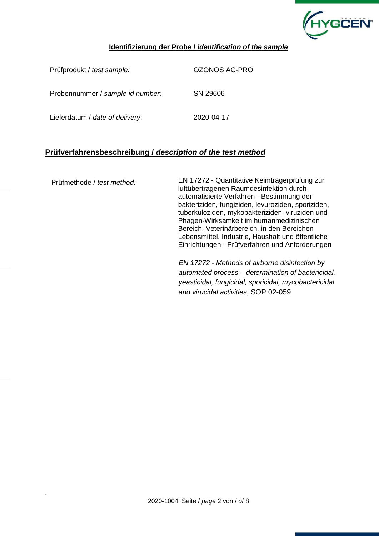

#### **Identifizierung der Probe /** *identification of the sample*

Prüfprodukt / *test sample:* OZONOS AC-PRO Probennummer / *sample id number:* SN 29606 Lieferdatum / *date of delivery*: 2020-04-17

#### **Prüfverfahrensbeschreibung /** *description of the test method*

Prüfmethode / *test method:* EN 17272 - Quantitative Keimträgerprüfung zur luftübertragenen Raumdesinfektion durch automatisierte Verfahren - Bestimmung der bakteriziden, fungiziden, levuroziden, sporiziden, tuberkuloziden, mykobakteriziden, viruziden und Phagen-Wirksamkeit im humanmedizinischen Bereich, Veterinärbereich, in den Bereichen Lebensmittel, Industrie, Haushalt und öffentliche Einrichtungen - Prüfverfahren und Anforderungen

> *EN 17272 - Methods of airborne disinfection by automated process – determination of bactericidal, yeasticidal, fungicidal, sporicidal, mycobactericidal and virucidal activities*, SOP 02-059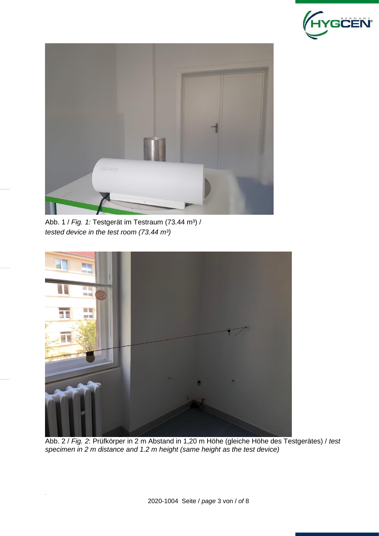



Abb. 1 / *Fig. 1:* Testgerät im Testraum (73.44 m<sup>3</sup>) / *tested device in the test room (73.44 m³)*



Abb. 2 / *Fig. 2*: Prüfkörper in 2 m Abstand in 1,20 m Höhe (gleiche Höhe des Testgerätes) / *test specimen in 2 m distance and 1.2 m height (same height as the test device)*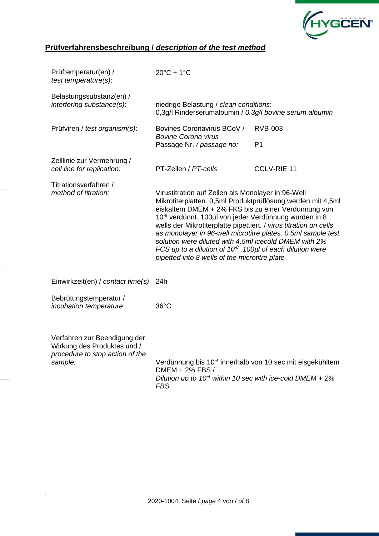

## **Prüfverfahrensbeschreibung /** *description of the test method*

| Prüftemperatur(en) /<br>test temperature(s):                                                              | $20^{\circ}$ C $\pm$ 1°C                                                                                                                                                                                                                                                                                                                                                                                                                                                                                                                                            |                                  |  |  |
|-----------------------------------------------------------------------------------------------------------|---------------------------------------------------------------------------------------------------------------------------------------------------------------------------------------------------------------------------------------------------------------------------------------------------------------------------------------------------------------------------------------------------------------------------------------------------------------------------------------------------------------------------------------------------------------------|----------------------------------|--|--|
| Belastungssubstanz(en) /<br>interfering substance(s):                                                     | niedrige Belastung / clean conditions:<br>0,3g/l Rinderserumalbumin / 0.3g/l bovine serum albumin                                                                                                                                                                                                                                                                                                                                                                                                                                                                   |                                  |  |  |
| Prüfviren / test organism(s):                                                                             | Bovines Coronavirus BCoV /<br><b>Bovine Corona virus</b><br>Passage Nr. / passage no:                                                                                                                                                                                                                                                                                                                                                                                                                                                                               | <b>RVB-003</b><br>P <sub>1</sub> |  |  |
| Zelllinie zur Vermehrung /<br>cell line for replication:                                                  | PT-Zellen / PT-cells                                                                                                                                                                                                                                                                                                                                                                                                                                                                                                                                                | <b>CCLV-RIE 11</b>               |  |  |
| Titrationsverfahren /<br>method of titration:                                                             | Virustitration auf Zellen als Monolayer in 96-Well<br>Mikrotiterplatten. 0,5ml Produktprüflösung werden mit 4,5ml<br>eiskaltem DMEM + 2% FKS bis zu einer Verdünnung von<br>10 <sup>-8</sup> verdünnt. 100µl von jeder Verdünnung wurden in 8<br>wells der Mikrotiterplatte pipettiert. / virus titration on cells<br>as monolayer in 96-well microtitre plates. 0.5ml sample test<br>solution were diluted with 4.5ml icecold DMEM with 2%<br>FCS up to a dilution of $10^8$ . 100 $\mu$ l of each dilution were<br>pipetted into 8 wells of the microtitre plate. |                                  |  |  |
| Einwirkzeit(en) / contact time(s): 24h                                                                    |                                                                                                                                                                                                                                                                                                                                                                                                                                                                                                                                                                     |                                  |  |  |
| Bebrütungstemperatur /<br>incubation temperature:                                                         | $36^{\circ}$ C                                                                                                                                                                                                                                                                                                                                                                                                                                                                                                                                                      |                                  |  |  |
| Verfahren zur Beendigung der<br>Wirkung des Produktes und /<br>procedure to stop action of the<br>sample: | Verdünnung bis 10 <sup>-4</sup> innerhalb von 10 sec mit eisgekühltem<br>DMEM + 2% FBS /<br>Dilution up to $10^4$ within 10 sec with ice-cold DMEM + 2%                                                                                                                                                                                                                                                                                                                                                                                                             |                                  |  |  |

*FBS*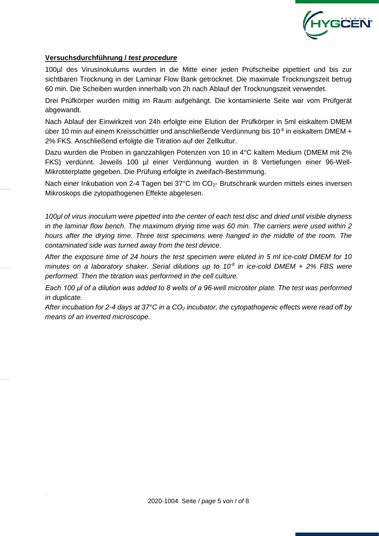

#### **Versuchsdurchführung /** *test procedure*

100µl des Virusinokulums wurden in die Mitte einer jeden Prüfscheibe pipettiert und bis zur sichtbaren Trocknung in der Laminar Flow Bank getrocknet. Die maximale Trocknungszeit betrug 60 min. Die Scheiben wurden innerhalb von 2h nach Ablauf der Trocknungszeit verwendet.

Drei Prüfkörper wurden mittig im Raum aufgehängt. Die kontaminierte Seite war vom Prüfgerät abgewandt.

Nach Ablauf der Einwirkzeit von 24h erfolgte eine Elution der Prüfkörper in 5ml eiskaltem DMEM über 10 min auf einem Kreisschüttler und anschließende Verdünnung bis 10<sup>-8</sup> in eiskaltem DMEM + 2% FKS. Anschließend erfolgte die Titration auf der Zellkultur.

Dazu wurden die Proben in ganzzahligen Potenzen von 10 in 4°C kaltem Medium (DMEM mit 2% FKS) verdünnt. Jeweils 100 µl einer Verdünnung wurden in 8 Vertiefungen einer 96-Well-Mikrotiterplatte gegeben. Die Prüfung erfolgte in zweifach-Bestimmung.

Nach einer Inkubation von 2-4 Tagen bei 37°C im CO<sub>2</sub>- Brutschrank wurden mittels eines inversen Mikroskops die zytopathogenen Effekte abgelesen.

*100μl of virus inoculum were pipetted into the center of each test disc and dried until visible dryness in the laminar flow bench. The maximum drying time was 60 min. The carriers were used within 2 hours after the drying time. Three test specimens were hanged in the middle of the room. The contaminated side was turned away from the test device.*

*After the exposure time of 24 hours the test specimen were eluted in 5 ml ice-cold DMEM for 10 minutes on a laboratory shaker. Serial dilutions up to 10-8 in ice-cold DMEM + 2% FBS were performed. Then the titration was performed in the cell culture.*

*Each 100 μl of a dilution was added to 8 wells of a 96-well microtiter plate. The test was performed in duplicate.*

*After incubation for 2-4 days at 37°C in a CO<sup>2</sup> incubator, the cytopathogenic effects were read off by means of an inverted microscope.*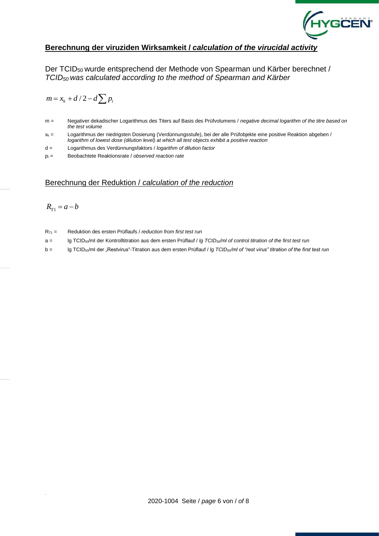

#### **Berechnung der viruziden Wirksamkeit /** *calculation of the virucidal activity*

Der TCID50 wurde entsprechend der Methode von Spearman und Kärber berechnet / *TCID50 was calculated according to the method of Spearman and Kärber*

$$
m = x_k + d/2 - d \sum p_i
$$

- m = Negativer dekadischer Logarithmus des Titers auf Basis des Prüfvolumens / *negative decimal logarithm of the titre based on the test volume*
- x<sup>k</sup> = Logarithmus der niedrigsten Dosierung (Verdünnungsstufe), bei der alle Prüfobjekte eine positive Reaktion abgeben / *logarithm of lowest dose (dilution level) at which all test objects exhibit a positive reaction*
- d = Logarithmus des Verdünnungsfaktors / *logarithm of dilution factor*
- p<sup>i</sup> = Beobachtete Reaktionsrate / *observed reaction rate*

#### Berechnung der Reduktion / *calculation of the reduction*

$$
R_{T1} = a - b
$$

- RT1 = Reduktion des ersten Prüflaufs / *reduction from first test run*
- a = lg TCID50/ml der Kontrolltitration aus dem ersten Prüflauf / *lg TCID50/ml of control titration of the first test run*
- b = lg TCID50/ml der "Restvirus"-Titration aus dem ersten Prüflauf / *lg TCID50/ml of "rest virus" titration of the first test run*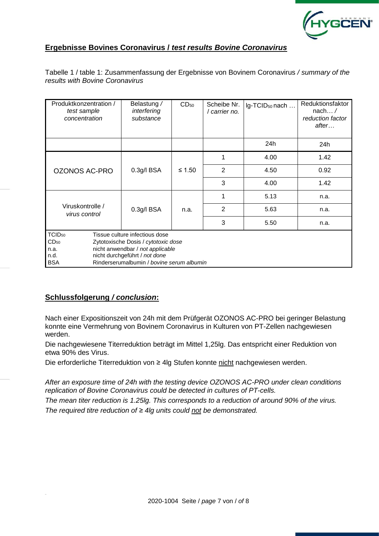

#### **Ergebnisse Bovines Coronavirus /** *test results Bovine Coronavirus*

Tabelle 1 / table 1: Zusammenfassung der Ergebnisse von Bovinem Coronavirus */ summary of the results with Bovine Coronavirus*

| Produktkonzentration /<br>test sample<br>concentration |                                           | Belastung /<br>interfering<br>substance | CD <sub>50</sub> | Scheibe Nr.<br>carrier no. | Ig-TCID <sub>50</sub> nach | Reduktionsfaktor<br>nach $\dots/$<br>reduction factor<br>after |  |  |
|--------------------------------------------------------|-------------------------------------------|-----------------------------------------|------------------|----------------------------|----------------------------|----------------------------------------------------------------|--|--|
|                                                        |                                           |                                         |                  |                            | 24h                        | 24h                                                            |  |  |
| <b>OZONOS AC-PRO</b>                                   | 0.3g/l BSA                                | $\leq 1.50$                             | 1                | 4.00                       | 1.42                       |                                                                |  |  |
|                                                        |                                           |                                         | $\overline{2}$   | 4.50                       | 0.92                       |                                                                |  |  |
|                                                        |                                           |                                         | 3                | 4.00                       | 1.42                       |                                                                |  |  |
|                                                        |                                           | $0.3g/I$ BSA                            | n.a.             | 1                          | 5.13                       | n.a.                                                           |  |  |
| Viruskontrolle /<br>virus control                      | $\overline{2}$                            |                                         |                  | 5.63                       | n.a.                       |                                                                |  |  |
|                                                        | 3                                         |                                         |                  | 5.50                       | n.a.                       |                                                                |  |  |
| TCID <sub>50</sub>                                     | Tissue culture infectious dose            |                                         |                  |                            |                            |                                                                |  |  |
| $CD_{50}$                                              | Zytotoxische Dosis / cytotoxic dose       |                                         |                  |                            |                            |                                                                |  |  |
| n.a.                                                   | nicht anwendbar / not applicable          |                                         |                  |                            |                            |                                                                |  |  |
| n.d.                                                   | nicht durchgeführt / not done             |                                         |                  |                            |                            |                                                                |  |  |
| <b>BSA</b>                                             | Rinderserumalbumin / bovine serum albumin |                                         |                  |                            |                            |                                                                |  |  |

#### **Schlussfolgerung** */ conclusion***:**

Nach einer Expositionszeit von 24h mit dem Prüfgerät OZONOS AC-PRO bei geringer Belastung konnte eine Vermehrung von Bovinem Coronavirus in Kulturen von PT-Zellen nachgewiesen werden.

Die nachgewiesene Titerreduktion beträgt im Mittel 1,25lg. Das entspricht einer Reduktion von etwa 90% des Virus.

Die erforderliche Titerreduktion von ≥ 4lg Stufen konnte nicht nachgewiesen werden.

*After an exposure time of 24h with the testing device OZONOS AC-PRO under clean conditions replication of Bovine Coronavirus could be detected in cultures of PT-cells.*

*The mean titer reduction is 1.25lg. This corresponds to a reduction of around 90% of the virus. The required titre reduction of ≥ 4lg units could not be demonstrated.*